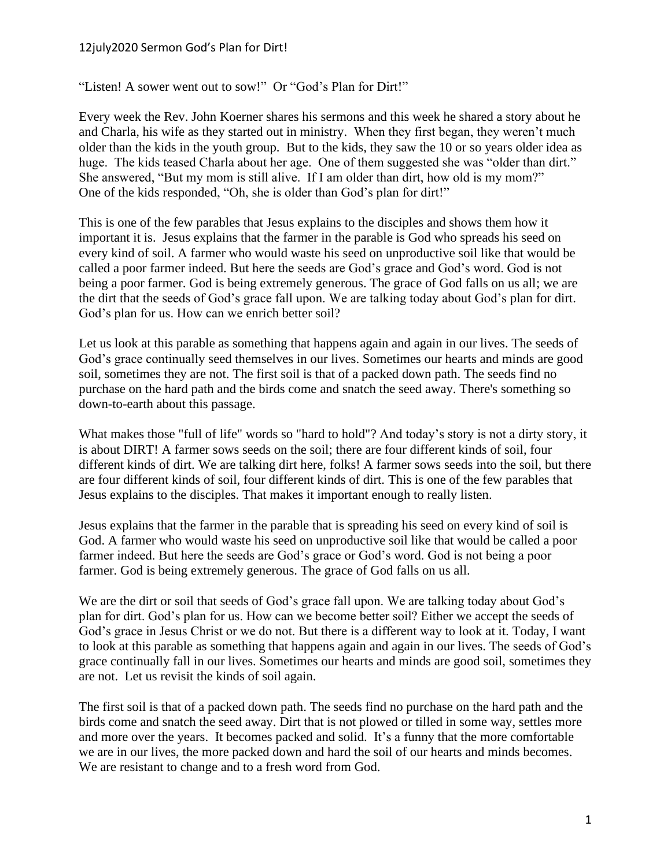## 12july2020 Sermon God's Plan for Dirt!

"Listen! A sower went out to sow!" Or "God's Plan for Dirt!"

Every week the Rev. John Koerner shares his sermons and this week he shared a story about he and Charla, his wife as they started out in ministry. When they first began, they weren't much older than the kids in the youth group. But to the kids, they saw the 10 or so years older idea as huge. The kids teased Charla about her age. One of them suggested she was "older than dirt." She answered, "But my mom is still alive. If I am older than dirt, how old is my mom?" One of the kids responded, "Oh, she is older than God's plan for dirt!"

This is one of the few parables that Jesus explains to the disciples and shows them how it important it is. Jesus explains that the farmer in the parable is God who spreads his seed on every kind of soil. A farmer who would waste his seed on unproductive soil like that would be called a poor farmer indeed. But here the seeds are God's grace and God's word. God is not being a poor farmer. God is being extremely generous. The grace of God falls on us all; we are the dirt that the seeds of God's grace fall upon. We are talking today about God's plan for dirt. God's plan for us. How can we enrich better soil?

Let us look at this parable as something that happens again and again in our lives. The seeds of God's grace continually seed themselves in our lives. Sometimes our hearts and minds are good soil, sometimes they are not. The first soil is that of a packed down path. The seeds find no purchase on the hard path and the birds come and snatch the seed away. There's something so down-to-earth about this passage.

What makes those "full of life" words so "hard to hold"? And today's story is not a dirty story, it is about DIRT! A farmer sows seeds on the soil; there are four different kinds of soil, four different kinds of dirt. We are talking dirt here, folks! A farmer sows seeds into the soil, but there are four different kinds of soil, four different kinds of dirt. This is one of the few parables that Jesus explains to the disciples. That makes it important enough to really listen.

Jesus explains that the farmer in the parable that is spreading his seed on every kind of soil is God. A farmer who would waste his seed on unproductive soil like that would be called a poor farmer indeed. But here the seeds are God's grace or God's word. God is not being a poor farmer. God is being extremely generous. The grace of God falls on us all.

We are the dirt or soil that seeds of God's grace fall upon. We are talking today about God's plan for dirt. God's plan for us. How can we become better soil? Either we accept the seeds of God's grace in Jesus Christ or we do not. But there is a different way to look at it. Today, I want to look at this parable as something that happens again and again in our lives. The seeds of God's grace continually fall in our lives. Sometimes our hearts and minds are good soil, sometimes they are not. Let us revisit the kinds of soil again.

The first soil is that of a packed down path. The seeds find no purchase on the hard path and the birds come and snatch the seed away. Dirt that is not plowed or tilled in some way, settles more and more over the years. It becomes packed and solid. It's a funny that the more comfortable we are in our lives, the more packed down and hard the soil of our hearts and minds becomes. We are resistant to change and to a fresh word from God.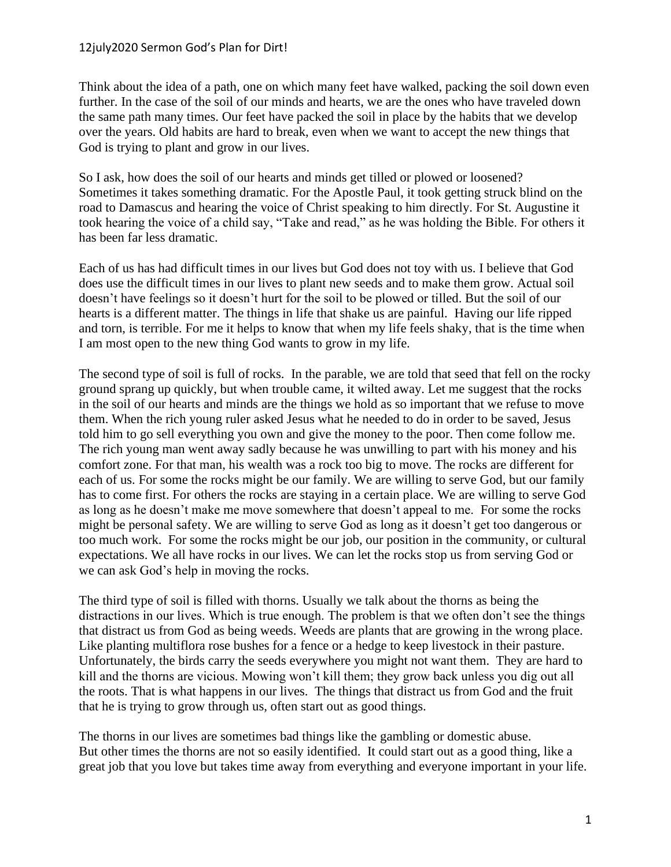## 12july2020 Sermon God's Plan for Dirt!

Think about the idea of a path, one on which many feet have walked, packing the soil down even further. In the case of the soil of our minds and hearts, we are the ones who have traveled down the same path many times. Our feet have packed the soil in place by the habits that we develop over the years. Old habits are hard to break, even when we want to accept the new things that God is trying to plant and grow in our lives.

So I ask, how does the soil of our hearts and minds get tilled or plowed or loosened? Sometimes it takes something dramatic. For the Apostle Paul, it took getting struck blind on the road to Damascus and hearing the voice of Christ speaking to him directly. For St. Augustine it took hearing the voice of a child say, "Take and read," as he was holding the Bible. For others it has been far less dramatic.

Each of us has had difficult times in our lives but God does not toy with us. I believe that God does use the difficult times in our lives to plant new seeds and to make them grow. Actual soil doesn't have feelings so it doesn't hurt for the soil to be plowed or tilled. But the soil of our hearts is a different matter. The things in life that shake us are painful. Having our life ripped and torn, is terrible. For me it helps to know that when my life feels shaky, that is the time when I am most open to the new thing God wants to grow in my life.

The second type of soil is full of rocks. In the parable, we are told that seed that fell on the rocky ground sprang up quickly, but when trouble came, it wilted away. Let me suggest that the rocks in the soil of our hearts and minds are the things we hold as so important that we refuse to move them. When the rich young ruler asked Jesus what he needed to do in order to be saved, Jesus told him to go sell everything you own and give the money to the poor. Then come follow me. The rich young man went away sadly because he was unwilling to part with his money and his comfort zone. For that man, his wealth was a rock too big to move. The rocks are different for each of us. For some the rocks might be our family. We are willing to serve God, but our family has to come first. For others the rocks are staying in a certain place. We are willing to serve God as long as he doesn't make me move somewhere that doesn't appeal to me. For some the rocks might be personal safety. We are willing to serve God as long as it doesn't get too dangerous or too much work. For some the rocks might be our job, our position in the community, or cultural expectations. We all have rocks in our lives. We can let the rocks stop us from serving God or we can ask God's help in moving the rocks.

The third type of soil is filled with thorns. Usually we talk about the thorns as being the distractions in our lives. Which is true enough. The problem is that we often don't see the things that distract us from God as being weeds. Weeds are plants that are growing in the wrong place. Like planting multiflora rose bushes for a fence or a hedge to keep livestock in their pasture. Unfortunately, the birds carry the seeds everywhere you might not want them. They are hard to kill and the thorns are vicious. Mowing won't kill them; they grow back unless you dig out all the roots. That is what happens in our lives. The things that distract us from God and the fruit that he is trying to grow through us, often start out as good things.

The thorns in our lives are sometimes bad things like the gambling or domestic abuse. But other times the thorns are not so easily identified. It could start out as a good thing, like a great job that you love but takes time away from everything and everyone important in your life.